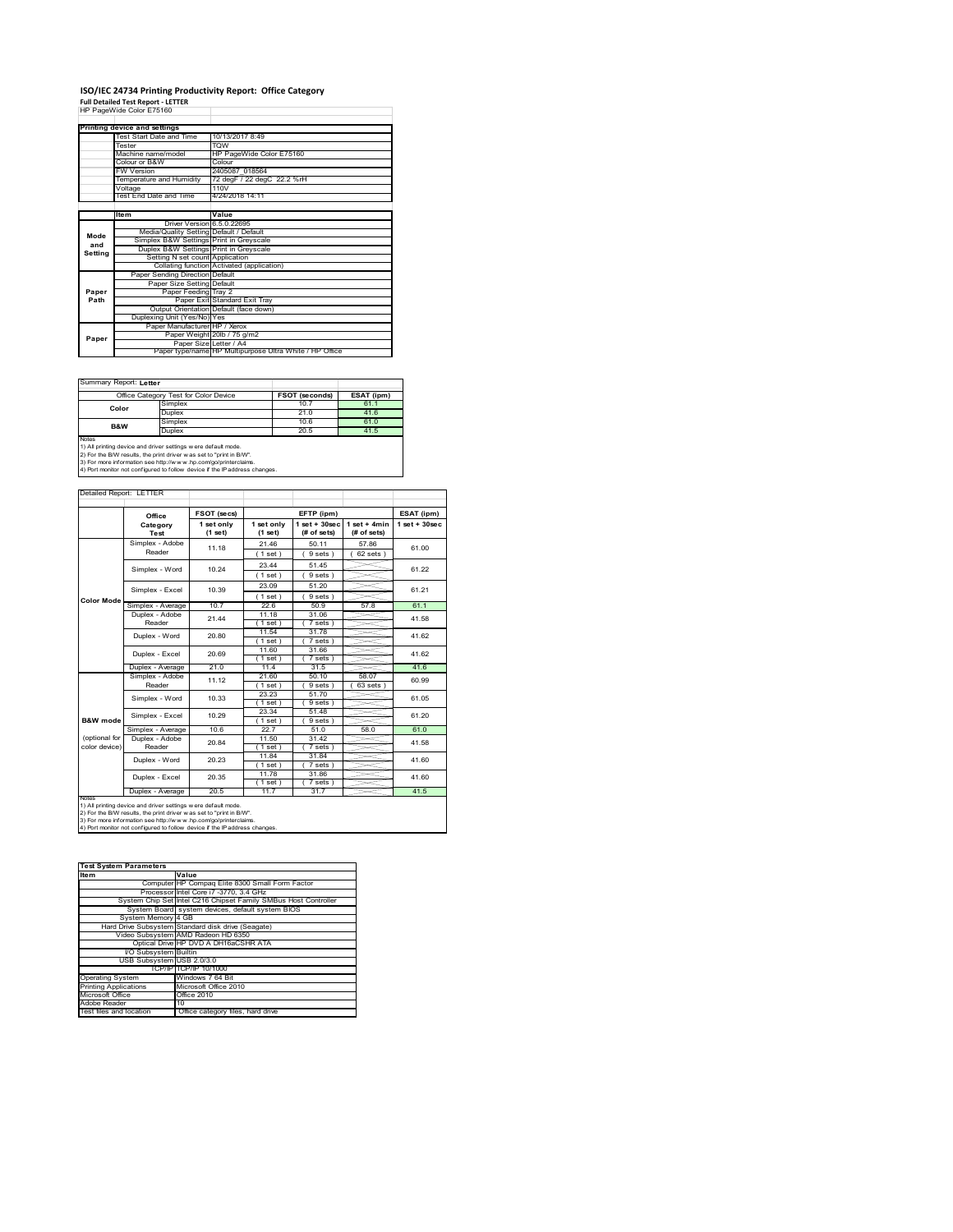### **ISO/IEC 24734 Printing Productivity Report: Office Category Full Detailed Test Report ‐ LETTER** HP PageWide Color E75160

|         | HP PageWide Color E75160                |                                                         |
|---------|-----------------------------------------|---------------------------------------------------------|
|         | Printing device and settings            |                                                         |
|         | Test Start Date and Time                | 10/13/2017 8:49                                         |
|         | Tester                                  | <b>TOW</b>                                              |
|         | Machine name/model                      | HP PageWide Color E75160                                |
|         | Colour or B&W                           | Colour                                                  |
|         | <b>FW Version</b>                       | 2405087 018564                                          |
|         | Temperature and Humidity                | 72 degF / 22 degC 22.2 %rH                              |
|         |                                         | 110V                                                    |
|         | Voltage<br>Test End Date and Time       | 4/24/2018 14:11                                         |
|         |                                         |                                                         |
|         | <b>Item</b>                             | Value                                                   |
|         | Driver Version 6.5.0.22695              |                                                         |
|         |                                         |                                                         |
| Mode    | Media/Quality Setting Default / Default |                                                         |
| and     | Simplex B&W Settings Print in Greyscale |                                                         |
| Setting | Duplex B&W Settings Print in Greyscale  |                                                         |
|         | Setting N set count Application         |                                                         |
|         |                                         | Collating function Activated (application)              |
|         | Paper Sending Direction Default         |                                                         |
|         | Paper Size Setting Default              |                                                         |
| Paper   | Paper Feeding Tray 2                    |                                                         |
| Path    |                                         | Paper Exit Standard Exit Tray                           |
|         |                                         | Output Orientation Default (face down)                  |
|         | Duplexing Unit (Yes/No) Yes             |                                                         |
|         | Paper Manufacturer HP / Xerox           |                                                         |
| Paper   |                                         | Paper Weight 20lb / 75 g/m2                             |
|         | Paper Size Letter / A4                  |                                                         |
|         |                                         | Paper type/name HP Multipurpose Ultra White / HP Office |

Summary Report: **Letter**

| <b>Cammany responsible the l</b>                                    |               |                |            |  |  |
|---------------------------------------------------------------------|---------------|----------------|------------|--|--|
| Office Category Test for Color Device                               |               | FSOT (seconds) | ESAT (ipm) |  |  |
| Color                                                               | Simplex       | 10.7           | 61.1       |  |  |
|                                                                     | Duplex        | 21.0           | 41.6       |  |  |
| B&W                                                                 | Simplex       | 10.6           | 61.0       |  |  |
|                                                                     | <b>Duplex</b> | 20.5           | 41.5       |  |  |
| <b>Notes</b>                                                        |               |                |            |  |  |
| 1) All printing device and driver settings w ere default mode.      |               |                |            |  |  |
| 2) For the B/W results, the print driver was set to "print in B/W". |               |                |            |  |  |

2) For the B/W results, the print driver w as set to "print in B/W".<br>3) For more information see http://w w w .hp.com/go/printerclaims.<br>4) Port monitor not configured to follow device if the IP address changes.

|                                                                                                                                                                                                                                                                                                                                                             | Office            | FSOT (secs)             |                       | EFTP (ipm)                       |                               | ESAT (ipm)        |
|-------------------------------------------------------------------------------------------------------------------------------------------------------------------------------------------------------------------------------------------------------------------------------------------------------------------------------------------------------------|-------------------|-------------------------|-----------------------|----------------------------------|-------------------------------|-------------------|
|                                                                                                                                                                                                                                                                                                                                                             | Category<br>Test  | 1 set only<br>$(1$ set) | 1 set only<br>(1 set) | $1$ set $+30$ sec<br>(# of sets) | $1$ set + 4min<br>(# of sets) | $1$ set $+30$ sec |
|                                                                                                                                                                                                                                                                                                                                                             | Simplex - Adobe   | 11.18                   | 21.46                 | 50.11                            | 57.86                         | 61.00             |
|                                                                                                                                                                                                                                                                                                                                                             | Reader            |                         | (1 set)               | 9 sets)                          | $62$ sets $)$                 |                   |
|                                                                                                                                                                                                                                                                                                                                                             | Simplex - Word    | 10 24                   | 23.44                 | 51.45                            |                               | 61 22             |
|                                                                                                                                                                                                                                                                                                                                                             |                   |                         | (1 set)               | 9 sets)                          |                               |                   |
|                                                                                                                                                                                                                                                                                                                                                             | Simplex - Excel   | 10.39                   | 23.09                 | 51.20                            |                               | 61.21             |
| <b>Color Mode</b>                                                                                                                                                                                                                                                                                                                                           |                   |                         | (1 set)               | 9 sets                           |                               |                   |
|                                                                                                                                                                                                                                                                                                                                                             | Simplex - Average | 107                     | 22.6                  | 50.9                             | 57.8                          | 61.1              |
|                                                                                                                                                                                                                                                                                                                                                             | Duplex - Adobe    | 21 44                   | 11 18                 | 31.06                            |                               | 41.58             |
|                                                                                                                                                                                                                                                                                                                                                             | Reader            |                         | $1$ set)              | 7 sets)                          |                               |                   |
|                                                                                                                                                                                                                                                                                                                                                             | Duplex - Word     | 20.80                   | 11.54                 | 31.78                            |                               | 41.62             |
|                                                                                                                                                                                                                                                                                                                                                             |                   |                         | (1 set)<br>11.60      | 7 sets                           |                               |                   |
|                                                                                                                                                                                                                                                                                                                                                             | Duplex - Excel    | 20.69                   | (1 set)               | 31.66<br>7 sets                  |                               | 41.62             |
|                                                                                                                                                                                                                                                                                                                                                             | Duplex - Average  | 21.0                    | 11.4                  | 31.5                             |                               | 41.6              |
|                                                                                                                                                                                                                                                                                                                                                             | Simplex - Adobe   |                         | 21.60                 | 50.10                            | 58.07                         |                   |
|                                                                                                                                                                                                                                                                                                                                                             | Reader            | 11.12                   | (1 set)               | 9 sets                           | 63 sets                       | 60.99             |
|                                                                                                                                                                                                                                                                                                                                                             | Simplex - Word    | 10.33                   | 23 23                 | 51.70                            |                               | 61.05             |
|                                                                                                                                                                                                                                                                                                                                                             |                   |                         | (1 set)               | 9 sets                           |                               |                   |
|                                                                                                                                                                                                                                                                                                                                                             | Simplex - Excel   | 10.29                   | 23.34                 | 51.48                            |                               | 61.20             |
| B&W mode                                                                                                                                                                                                                                                                                                                                                    |                   |                         | (1 set)               | $9 sets$ )                       |                               |                   |
|                                                                                                                                                                                                                                                                                                                                                             | Simplex - Average | 10.6                    | 227                   | 51.0                             | 58.0                          | 61.0              |
| (optional for                                                                                                                                                                                                                                                                                                                                               | Duplex - Adobe    | 20.84                   | 11.50                 | 31 42                            |                               | 41.58             |
| color device)                                                                                                                                                                                                                                                                                                                                               | Reader            |                         | (1 set)               | 7 sets)                          |                               |                   |
|                                                                                                                                                                                                                                                                                                                                                             | Duplex - Word     | 20.23                   | 11.84                 | 31.84                            |                               | 41.60             |
|                                                                                                                                                                                                                                                                                                                                                             |                   |                         | (1 set)               | 7 sets)                          |                               |                   |
|                                                                                                                                                                                                                                                                                                                                                             | Duplex - Excel    | 20.35                   | 11 78                 | 31.86                            |                               | 41.60             |
|                                                                                                                                                                                                                                                                                                                                                             |                   |                         | $1$ set)              | 7 sets)                          |                               |                   |
|                                                                                                                                                                                                                                                                                                                                                             |                   |                         |                       |                                  |                               |                   |
| 20.5<br>31.7<br>41.5<br>Duplex - Average<br>11.7<br><b>NOIRS</b><br>1) All printing device and driver settings w ere default mode.<br>2) For the B/W results, the print driver w as set to "print in B/W".<br>3) For more information see http://www.hp.com/go/printerclaims.<br>4) Port monitor not configured to follow device if the IP address changes. |                   |                         |                       |                                  |                               |                   |

| <b>Test System Parameters</b> |                                                                 |  |  |  |
|-------------------------------|-----------------------------------------------------------------|--|--|--|
| <b>Item</b>                   | Value                                                           |  |  |  |
|                               | Computer HP Compag Elite 8300 Small Form Factor                 |  |  |  |
|                               | Processor Intel Core i7 -3770, 3.4 GHz                          |  |  |  |
|                               | System Chip Set Intel C216 Chipset Family SMBus Host Controller |  |  |  |
|                               | System Board system devices, default system BIOS                |  |  |  |
| System Memory 4 GB            |                                                                 |  |  |  |
|                               | Hard Drive Subsystem Standard disk drive (Seagate)              |  |  |  |
|                               | Video Subsystem AMD Radeon HD 6350                              |  |  |  |
|                               | Optical Drive HP DVD A DH16aCSHR ATA                            |  |  |  |
| I/O Subsystem Builtin         |                                                                 |  |  |  |
| USB Subsystem USB 2.0/3.0     |                                                                 |  |  |  |
|                               | TCP/IPITCP/IP 10/1000                                           |  |  |  |
| <b>Operating System</b>       | Windows 7 64 Bit                                                |  |  |  |
| <b>Printing Applications</b>  | Microsoft Office 2010                                           |  |  |  |
| Microsoft Office              | Office 2010                                                     |  |  |  |
| Adobe Reader                  | 10                                                              |  |  |  |
| Test files and location       | Office category files, hard drive                               |  |  |  |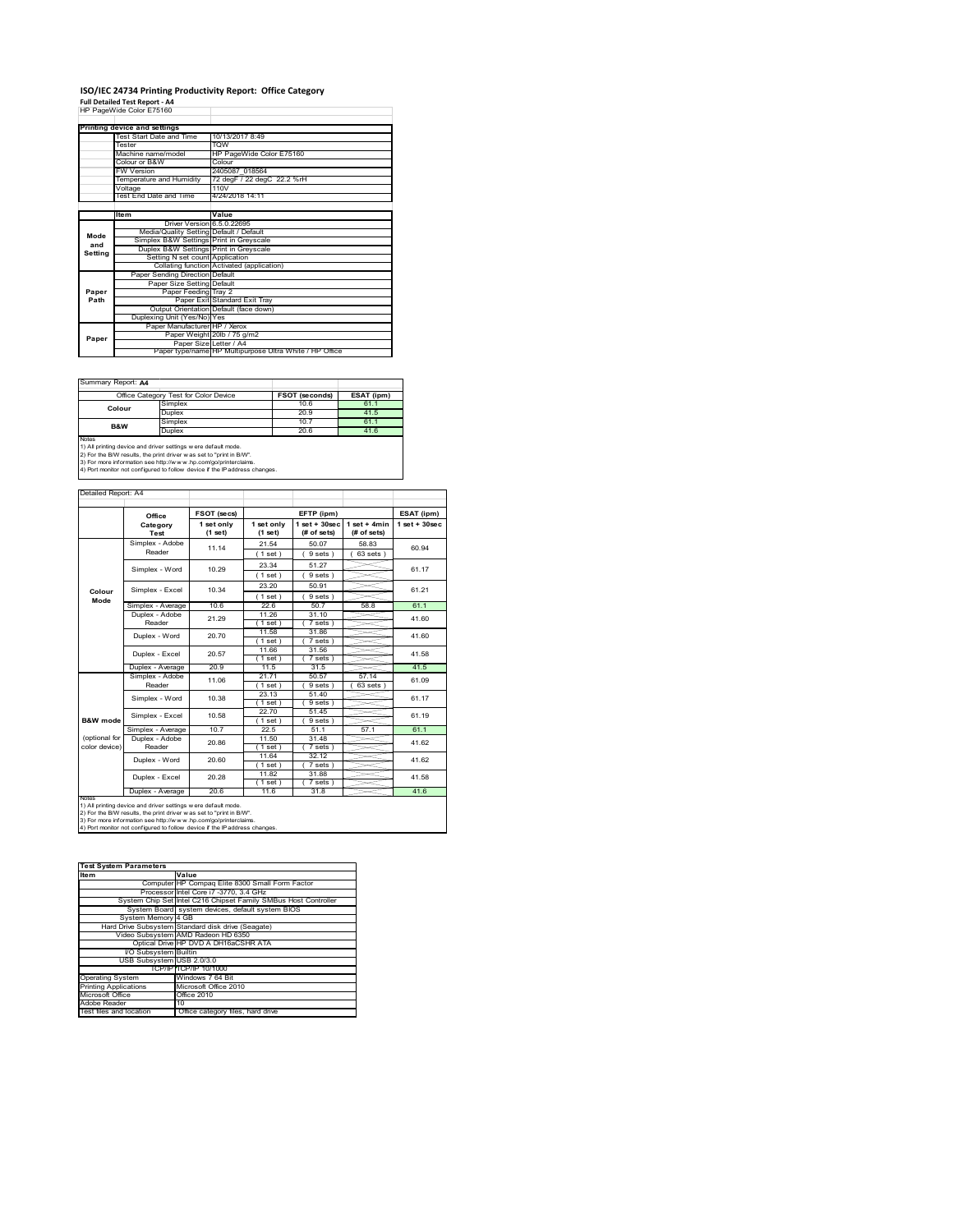### **ISO/IEC 24734 Printing Productivity Report: Office Category Full Detailed Test Report ‐ A4** HP PageWide Color E75160

|         | HP PageWide Color E75160                |                                                         |  |
|---------|-----------------------------------------|---------------------------------------------------------|--|
|         | Printing device and settings            |                                                         |  |
|         | Test Start Date and Time                | 10/13/2017 8:49                                         |  |
|         | Tester                                  | <b>TOW</b>                                              |  |
|         | Machine name/model                      | HP PageWide Color E75160                                |  |
|         | Colour or B&W                           | Colour                                                  |  |
|         | <b>FW Version</b>                       | 2405087 018564                                          |  |
|         | Temperature and Humidity                | 72 degF / 22 degC 22.2 %rH                              |  |
|         | Voltage                                 | 110V                                                    |  |
|         | Test End Date and Time                  | 4/24/2018 14:11                                         |  |
|         |                                         |                                                         |  |
|         | <b>Item</b>                             | Value                                                   |  |
|         | Driver Version 6.5.0.22695              |                                                         |  |
| Mode    | Media/Quality Setting Default / Default |                                                         |  |
| and     | Simplex B&W Settings Print in Greyscale |                                                         |  |
| Setting | Duplex B&W Settings Print in Greyscale  |                                                         |  |
|         | Setting N set count Application         |                                                         |  |
|         |                                         | Collating function Activated (application)              |  |
|         | Paper Sending Direction Default         |                                                         |  |
|         | Paper Size Setting Default              |                                                         |  |
| Paper   | Paper Feeding Tray 2                    |                                                         |  |
| Path    |                                         | Paper Exit Standard Exit Tray                           |  |
|         |                                         | Output Orientation Default (face down)                  |  |
|         | Duplexing Unit (Yes/No) Yes             |                                                         |  |
|         | Paper Manufacturer HP / Xerox           |                                                         |  |
| Paper   |                                         | Paper Weight 20lb / 75 g/m2                             |  |
|         | Paper Size Letter / A4                  |                                                         |  |
|         |                                         | Paper type/name HP Multipurpose Ultra White / HP Office |  |

Summary Report: **A4**

|                                                                                                                                                | Office Category Test for Color Device | FSOT (seconds) | ESAT (ipm) |  |  |
|------------------------------------------------------------------------------------------------------------------------------------------------|---------------------------------------|----------------|------------|--|--|
| Colour                                                                                                                                         | Simplex                               | 10.6           | 61.1       |  |  |
|                                                                                                                                                | Duplex                                | 20.9           | 41.5       |  |  |
| B&W                                                                                                                                            | Simplex                               | 10.7           | 61.1       |  |  |
|                                                                                                                                                | Duplex                                | 20.6           | 41.6       |  |  |
| Notes<br>1) All printing device and driver settings w ere default mode.<br>2) For the B/W results, the print driver was set to "print in B/W". |                                       |                |            |  |  |

2) For the B/W results, the print driver w as set to "print in B/W".<br>3) For more information see http://w w w .hp.com/go/printerclaims.<br>4) Port monitor not configured to follow device if the IP address changes.

|                                          | Office                                                                                                                                                                                                    | FSOT (secs)           |                       | EFTP (ipm)                       |                               | ESAT (ipm)        |
|------------------------------------------|-----------------------------------------------------------------------------------------------------------------------------------------------------------------------------------------------------------|-----------------------|-----------------------|----------------------------------|-------------------------------|-------------------|
|                                          | Category<br>Test                                                                                                                                                                                          | 1 set only<br>(1 set) | 1 set only<br>(1 set) | $1$ set $+30$ sec<br>(# of sets) | $1$ set + 4min<br>(# of sets) | $1$ set $+30$ sec |
|                                          | Simplex - Adobe                                                                                                                                                                                           | 11.14                 | 21.54                 | 50.07                            | 58.83                         | 60.94             |
|                                          | Reader                                                                                                                                                                                                    |                       | (1 set)               | 9 sets)                          | $63$ sets $)$                 |                   |
|                                          | Simplex - Word                                                                                                                                                                                            | 10.29                 | 23.34                 | 51.27                            |                               | 61.17             |
|                                          |                                                                                                                                                                                                           |                       | (1 set)               | 9 sets)                          |                               |                   |
|                                          | Simplex - Excel                                                                                                                                                                                           | 10.34                 | 23.20                 | 50.91                            |                               | 61.21             |
| Colour<br>Mode                           |                                                                                                                                                                                                           |                       | (1 set)               | 9 sets                           |                               |                   |
|                                          | Simplex - Average                                                                                                                                                                                         | 106                   | 22.6                  | 50.7                             | 58.8                          | 61.1              |
|                                          | Duplex - Adobe                                                                                                                                                                                            | 21.29                 | 11.26                 | 31.10                            |                               | 41.60             |
|                                          | Reader                                                                                                                                                                                                    |                       | $1$ set)              | 7 sets)                          |                               |                   |
|                                          | Duplex - Word                                                                                                                                                                                             | 20.70                 | 11.58                 | 31.86                            |                               | 41.60             |
|                                          |                                                                                                                                                                                                           |                       | $1$ set)<br>11.66     | 7 sets)<br>31.56                 |                               |                   |
|                                          | Duplex - Excel                                                                                                                                                                                            | 20.57                 | $1$ set)              | 7 sets 1                         |                               | 41.58             |
|                                          | Duplex - Average                                                                                                                                                                                          | 20.9                  | 11.5                  | 31.5                             |                               | 41.5              |
|                                          | Simplex - Adobe                                                                                                                                                                                           | 11.06                 | 21.71                 | 50.57                            | 57.14                         | 61.09             |
|                                          | Reader                                                                                                                                                                                                    |                       | 1 set                 | 9 sets                           | 63 sets                       |                   |
|                                          | Simplex - Word                                                                                                                                                                                            | 10.38                 | 23 13                 | 51.40                            |                               | 61.17             |
|                                          |                                                                                                                                                                                                           |                       | (1 set)               | 9 sets )                         |                               |                   |
|                                          | Simplex - Excel                                                                                                                                                                                           | 10.58                 | 22.70                 | 51.45                            |                               | 61 19             |
| <b>B&amp;W</b> mode                      |                                                                                                                                                                                                           | 107                   | $1$ set)              | 9 sets)                          |                               |                   |
| (optional for                            | Simplex - Average<br>Duplex - Adobe                                                                                                                                                                       |                       | 22.5<br>11.50         | 51.1<br>31 48                    | 57.1                          | 61.1              |
| color device)                            | Reader                                                                                                                                                                                                    | 20.86                 | $1$ set)              | 7 sets)                          |                               | 41.62             |
|                                          |                                                                                                                                                                                                           |                       | 11.64                 | 32.12                            |                               |                   |
|                                          | Duplex - Word                                                                                                                                                                                             | 20.60                 | (1 set)               | 7 sets)                          |                               | 41.62             |
|                                          | Duplex - Excel                                                                                                                                                                                            | 20.28                 | 11.82                 | 31.88                            |                               | 41.58             |
|                                          |                                                                                                                                                                                                           |                       | $1$ set)              | 7 sets)                          |                               |                   |
| 20.6<br>Duplex - Average<br>11.6<br>31.8 |                                                                                                                                                                                                           |                       |                       | 41.6                             |                               |                   |
| <b>NOTAS</b>                             | 1) All printing device and driver settings w ere default mode.<br>2) For the B/W results, the print driver w as set to "print in B/W".<br>3) For more information see http://www.hp.com/go/printerclaims. |                       |                       |                                  |                               |                   |

| <b>Test System Parameters</b> |                                                                 |  |  |  |  |
|-------------------------------|-----------------------------------------------------------------|--|--|--|--|
| <b>Item</b>                   | Value                                                           |  |  |  |  |
|                               | Computer HP Compag Elite 8300 Small Form Factor                 |  |  |  |  |
|                               | Processor Intel Core i7 -3770, 3.4 GHz                          |  |  |  |  |
|                               | System Chip Set Intel C216 Chipset Family SMBus Host Controller |  |  |  |  |
|                               | System Board system devices, default system BIOS                |  |  |  |  |
| System Memory 4 GB            |                                                                 |  |  |  |  |
|                               | Hard Drive Subsystem Standard disk drive (Seagate)              |  |  |  |  |
|                               | Video Subsystem AMD Radeon HD 6350                              |  |  |  |  |
|                               | Optical Drive HP DVD A DH16aCSHR ATA                            |  |  |  |  |
| I/O Subsystem Builtin         |                                                                 |  |  |  |  |
| USB Subsystem USB 2.0/3.0     |                                                                 |  |  |  |  |
|                               | TCP/IPITCP/IP 10/1000                                           |  |  |  |  |
| <b>Operating System</b>       | Windows 7 64 Bit                                                |  |  |  |  |
| <b>Printing Applications</b>  | Microsoft Office 2010                                           |  |  |  |  |
| Microsoft Office              | Office 2010                                                     |  |  |  |  |
| Adobe Reader                  | 10                                                              |  |  |  |  |
| Test files and location       | Office category files, hard drive                               |  |  |  |  |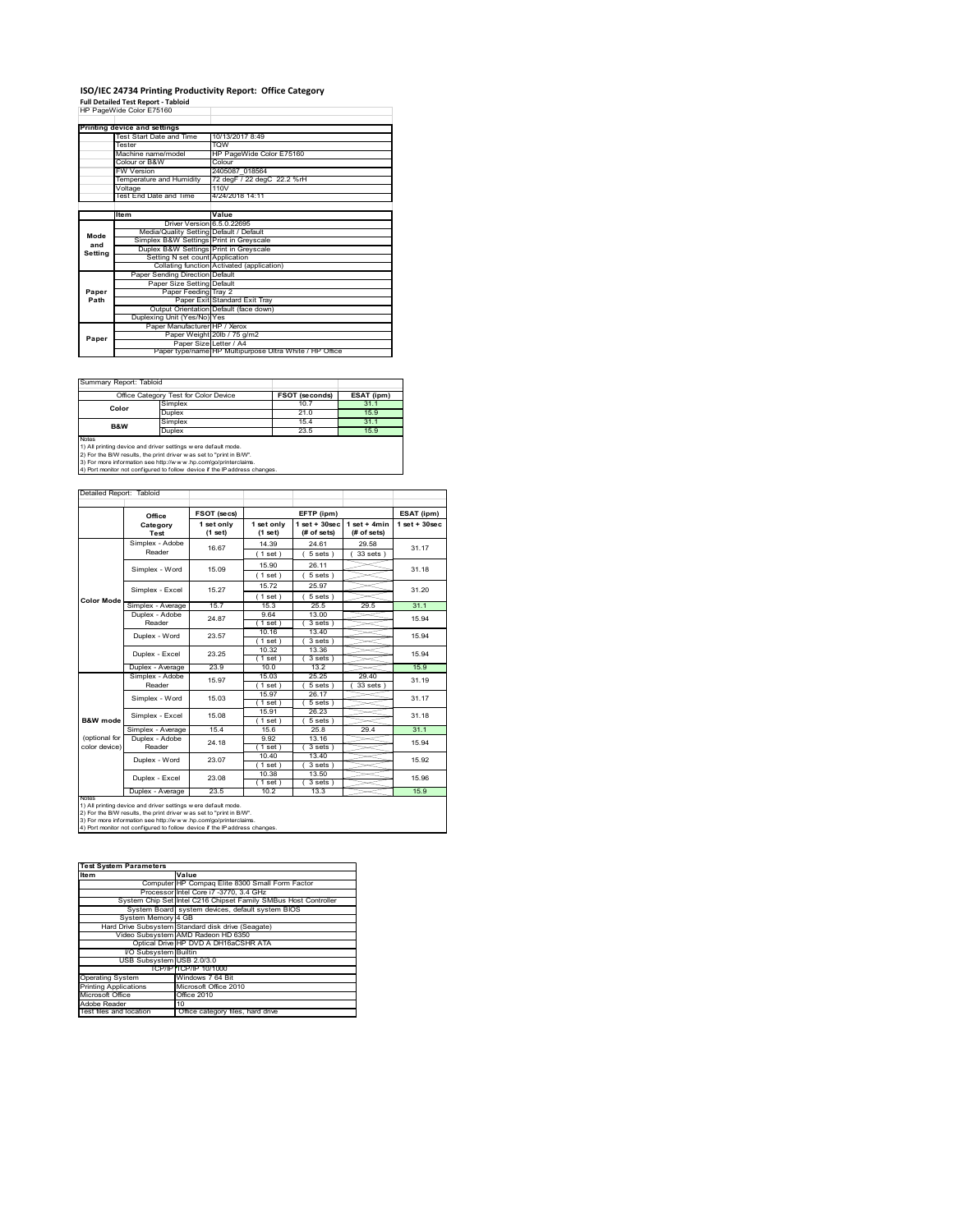### **ISO/IEC 24734 Printing Productivity Report: Office Category**

**Full Detailed Test Report ‐ Tabloid** HP PageWide Color E75160

|         | Printing device and settings            |                                                         |  |
|---------|-----------------------------------------|---------------------------------------------------------|--|
|         | Test Start Date and Time                | 10/13/2017 8:49                                         |  |
|         | Tester                                  | <b>TOW</b>                                              |  |
|         | Machine name/model                      | HP PageWide Color E75160                                |  |
|         | Colour or B&W                           | Colour                                                  |  |
|         | <b>FW Version</b>                       | 2405087 018564                                          |  |
|         | Temperature and Humidity                | 72 degF / 22 degC 22.2 %rH                              |  |
|         | Voltage                                 | 110V                                                    |  |
|         | Test End Date and Time                  | 4/24/2018 14:11                                         |  |
|         |                                         |                                                         |  |
|         | Item                                    | Value                                                   |  |
|         | Driver Version 6.5.0.22695              |                                                         |  |
| Mode    | Media/Quality Setting Default / Default |                                                         |  |
| and     | Simplex B&W Settings Print in Greyscale |                                                         |  |
| Setting | Duplex B&W Settings Print in Greyscale  |                                                         |  |
|         | Setting N set count Application         |                                                         |  |
|         |                                         | Collating function Activated (application)              |  |
|         | Paper Sending Direction Default         |                                                         |  |
|         | Paper Size Setting Default              |                                                         |  |
| Paper   | Paper Feeding Tray 2                    |                                                         |  |
| Path    |                                         | Paper Exit Standard Exit Tray                           |  |
|         |                                         | Output Orientation Default (face down)                  |  |
|         | Duplexing Unit (Yes/No) Yes             |                                                         |  |
|         | Paper Manufacturer HP / Xerox           |                                                         |  |
| Paper   |                                         | Paper Weight 20lb / 75 g/m2                             |  |
|         | Paper Size Letter / A4                  |                                                         |  |
|         |                                         | Paper type/name HP Multipurpose Ultra White / HP Office |  |

Ĩ.

Summary Report: Tabloid

| -----------------------------                                              |                |                       |            |  |  |
|----------------------------------------------------------------------------|----------------|-----------------------|------------|--|--|
| Office Category Test for Color Device                                      |                | <b>FSOT (seconds)</b> | ESAT (ipm) |  |  |
| Color                                                                      | Simplex        | 10.7                  | 31.1       |  |  |
|                                                                            | Duplex         | 21.0                  | 15.9       |  |  |
| B&W                                                                        | Simplex        | 15.4                  | 31.1       |  |  |
|                                                                            | Duplex<br>23.5 |                       | 15.9       |  |  |
| Notes                                                                      |                |                       |            |  |  |
| 1) All printing device and driver settings w ere default mode.             |                |                       |            |  |  |
| 2) For the B/W results, the print driver was set to "print in B/W".        |                |                       |            |  |  |
| 3) For more information see http://www.hp.com/go/printerclaims.            |                |                       |            |  |  |
| 4) Port monitor not configured to follow device if the IP address changes. |                |                       |            |  |  |

| Detailed Report: Tabloid |                   |                       |                       |                                  |                               |                    |
|--------------------------|-------------------|-----------------------|-----------------------|----------------------------------|-------------------------------|--------------------|
|                          | Office            | FSOT (secs)           |                       | EFTP (ipm)                       |                               | ESAT (ipm)         |
|                          | Category<br>Test  | 1 set only<br>(1 set) | 1 set only<br>(1 set) | $1$ set $+30$ sec<br>(# of sets) | $1$ set + 4min<br>(# of sets) | $1$ set + $30$ sec |
|                          | Simplex - Adobe   | 16.67                 | 14.39                 | 24 61                            | 29.58                         | 31.17              |
|                          | Reader            |                       | (1 set)               | 5 sets)                          | 33 sets                       |                    |
|                          | Simplex - Word    | 15.09                 | 15.90                 | 26 11                            |                               | 31 18              |
|                          |                   |                       | (1 set)               | 5 sets)                          |                               |                    |
|                          | Simplex - Excel   | 15.27                 | 15.72                 | 25.97                            |                               | 31 20              |
| <b>Color Mode</b>        |                   |                       | (1 set)               | 5 sets 1                         |                               |                    |
|                          | Simplex - Average | 15.7                  | 15.3                  | 25.5                             | 29.5                          | 31.1               |
|                          | Duplex - Adobe    | 24.87                 | 9.64                  | 13.00                            |                               | 15.94<br>15 94     |
|                          | Reader            |                       | $1$ set)              | 3 sets                           |                               |                    |
|                          | Duplex - Word     | 23.57                 | 10.16                 | 13.40                            |                               |                    |
|                          |                   |                       | $1$ set $)$           | 3 sets)                          |                               |                    |
|                          | Duplex - Excel    | 23.25                 | 10.32                 | 13.36                            |                               | 15.94              |
|                          | Duplex - Average  | 23.9                  | $1$ set)<br>10.0      | 3 sets )<br>13.2                 |                               | 15.9               |
|                          | Simplex - Adobe   |                       | 15.03                 | 25.25                            | 29.40                         |                    |
|                          | Reader            | 15.97                 | (1 set)               | 5 sets                           | 33 sets                       | 31.19              |
|                          | Simplex - Word    | 15.03                 | 15.97                 | 26.17                            |                               | 31.17              |
|                          |                   |                       | (1 set )              | 5 sets                           |                               |                    |
|                          | Simplex - Excel   | 15.08                 | 15.91                 | 26.23                            |                               |                    |
| B&W mode                 |                   |                       | $1$ set)              | 5 sets)                          |                               | 31.18              |
|                          | Simplex - Average | 15.4                  | 156                   | 25.8                             | 29.4                          | 31.1               |
| (optional for            | Duplex - Adobe    | 24.18                 | 9.92                  | 13.16                            |                               | 15.94              |
| color device)            | Reader            |                       | (1 set)               | 3 sets)                          |                               |                    |
|                          | Duplex - Word     | 23.07                 | 10.40                 | 13.40                            |                               | 15.92              |
|                          |                   |                       | (1 set)               | 3 sets)                          |                               |                    |
|                          | Duplex - Excel    | 23.08                 | 10.38                 | 13.50                            |                               | 15.96              |
|                          |                   |                       | (1 set)               | 3 sets)                          |                               |                    |
| <b>NOtes</b>             | Duplex - Average  | 23.5                  | 10.2                  | 13.3                             |                               | 15.9               |

notes<br>1) All printing device and driver settings were default mode.<br>2) For the B/W results, the print driver was set to "print in B/W".<br>3) For more information see http://www.hp.com/go/printerclaims.<br>4) Por monitor not con

| <b>Test System Parameters</b> |                                                                 |  |  |
|-------------------------------|-----------------------------------------------------------------|--|--|
| Item                          | Value                                                           |  |  |
|                               | Computer HP Compaq Elite 8300 Small Form Factor                 |  |  |
|                               | Processor Intel Core i7 -3770, 3.4 GHz                          |  |  |
|                               | System Chip Set Intel C216 Chipset Family SMBus Host Controller |  |  |
|                               | System Board system devices, default system BIOS                |  |  |
| System Memory 4 GB            |                                                                 |  |  |
|                               | Hard Drive Subsystem Standard disk drive (Seagate)              |  |  |
|                               | Video Subsystem AMD Radeon HD 6350                              |  |  |
|                               | Optical Drive HP DVD A DH16aCSHR ATA                            |  |  |
| I/O Subsystem Builtin         |                                                                 |  |  |
| USB Subsystem USB 2.0/3.0     |                                                                 |  |  |
|                               | TCP/IPITCP/IP 10/1000                                           |  |  |
| <b>Operating System</b>       | Windows 7 64 Bit                                                |  |  |
| <b>Printing Applications</b>  | Microsoft Office 2010                                           |  |  |
| Microsoft Office              | Office 2010                                                     |  |  |
| Adobe Reader                  | 10                                                              |  |  |
| Test files and location       | Office category files, hard drive                               |  |  |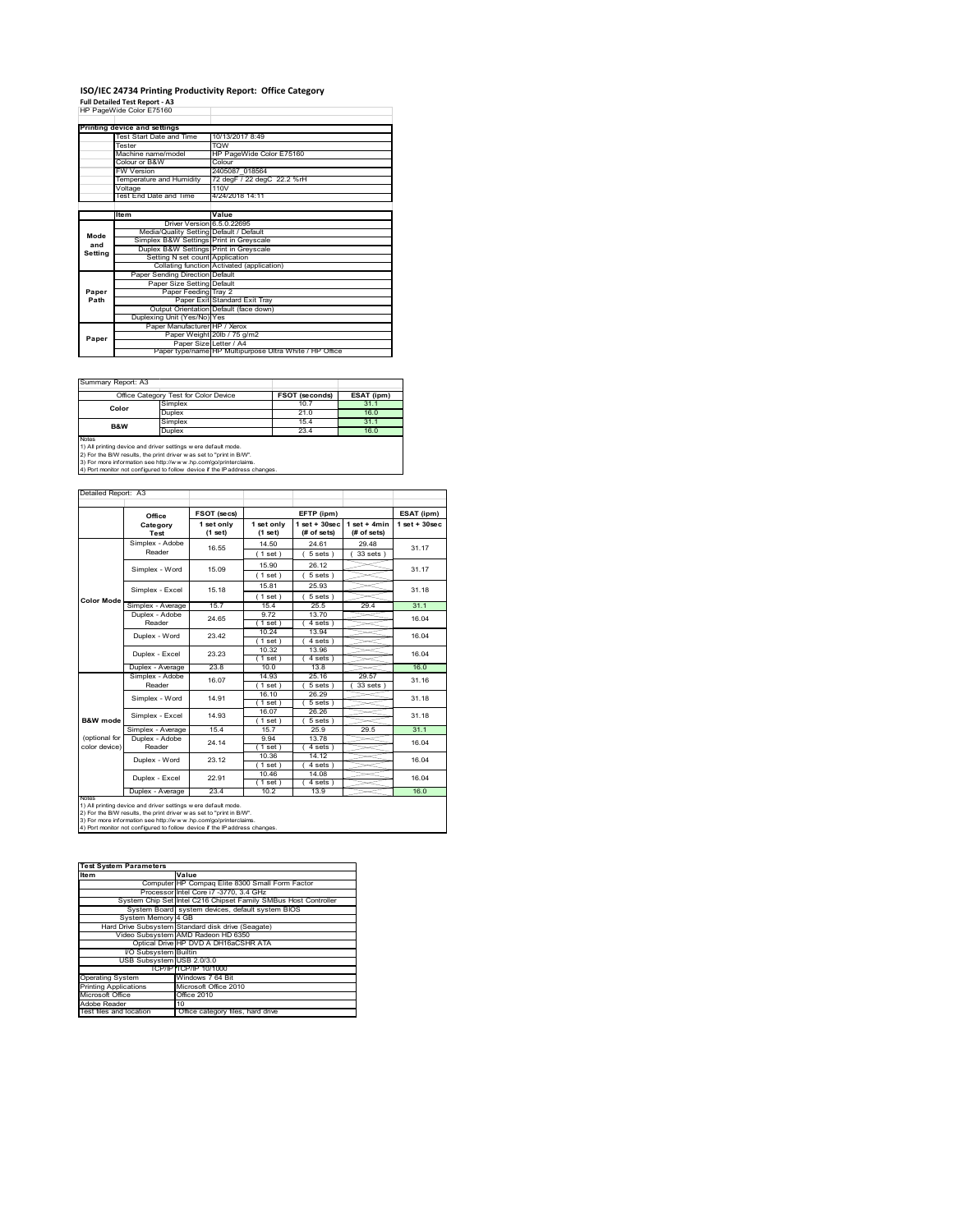### **ISO/IEC 24734 Printing Productivity Report: Office Category Full Detailed Test Report ‐ A3** HP PageWide Color E75160

|         | HP PageWide Color E75160                |                                                         |  |  |
|---------|-----------------------------------------|---------------------------------------------------------|--|--|
|         | Printing device and settings            |                                                         |  |  |
|         | Test Start Date and Time                | 10/13/2017 8:49                                         |  |  |
|         | Tester                                  | <b>TOW</b>                                              |  |  |
|         | Machine name/model                      | HP PageWide Color E75160                                |  |  |
|         | Colour or B&W                           | Colour                                                  |  |  |
|         | <b>FW Version</b>                       | 2405087 018564                                          |  |  |
|         | Temperature and Humidity                | 72 degF / 22 degC 22.2 %rH                              |  |  |
|         | Voltage                                 | 110V                                                    |  |  |
|         | Test End Date and Time                  | 4/24/2018 14:11                                         |  |  |
|         |                                         |                                                         |  |  |
|         | Item                                    | Value                                                   |  |  |
|         | Driver Version 6.5.0.22695              |                                                         |  |  |
| Mode    | Media/Quality Setting Default / Default |                                                         |  |  |
| and     | Simplex B&W Settings Print in Greyscale |                                                         |  |  |
| Setting | Duplex B&W Settings Print in Greyscale  |                                                         |  |  |
|         | Setting N set count Application         |                                                         |  |  |
|         |                                         | Collating function Activated (application)              |  |  |
|         | Paper Sending Direction Default         |                                                         |  |  |
|         | Paper Size Setting Default              |                                                         |  |  |
| Paper   | Paper Feeding Tray 2                    |                                                         |  |  |
| Path    |                                         | Paper Exit Standard Exit Tray                           |  |  |
|         |                                         | Output Orientation Default (face down)                  |  |  |
|         | Duplexing Unit (Yes/No) Yes             |                                                         |  |  |
|         | Paper Manufacturer HP / Xerox           |                                                         |  |  |
| Paper   |                                         | Paper Weight 20lb / 75 g/m2                             |  |  |
|         | Paper Size Letter / A4                  |                                                         |  |  |
|         |                                         | Paper type/name HP Multipurpose Ultra White / HP Office |  |  |

Summary Report: A3

| Office Category Test for Color Device                                                                                                                 |         | FSOT (seconds) | ESAT (ipm) |  |  |
|-------------------------------------------------------------------------------------------------------------------------------------------------------|---------|----------------|------------|--|--|
| Color                                                                                                                                                 | Simplex | 10.7           | 31.1       |  |  |
|                                                                                                                                                       | Duplex  | 21.0           | 16.0       |  |  |
| <b>B&amp;W</b>                                                                                                                                        | Simplex | 154            | 31.1       |  |  |
|                                                                                                                                                       | Duplex  | 23.4           | 16.0       |  |  |
| <b>Notes</b><br>1) All printing device and driver settings w ere default mode.<br>2) For the B/W results, the print driver was set to "print in B/W". |         |                |            |  |  |

2) For the B/W results, the print driver w as set to "print in B/W".<br>3) For more information see http://w w w .hp.com/go/printerclaims.<br>4) Port monitor not configured to follow device if the IP address changes.

| Detailed Report: A3            |                           |                         |                       |                                  |                               |                   |
|--------------------------------|---------------------------|-------------------------|-----------------------|----------------------------------|-------------------------------|-------------------|
|                                |                           |                         |                       |                                  |                               |                   |
|                                | Office                    | FSOT (secs)             |                       | EFTP (ipm)                       |                               | ESAT (ipm)        |
|                                | Category<br>Test          | 1 set only<br>$(1$ set) | 1 set only<br>(1 set) | $1$ set $+30$ sec<br>(# of sets) | $1$ set + 4min<br>(# of sets) | $1$ set $+30$ sec |
| <b>Color Mode</b>              | Simplex - Adobe<br>Reader | 16.55                   | 14.50<br>(1 set)      | 24 61<br>$5 sets$ )              | 29.48<br>33 sets )            | 31.17             |
|                                | Simplex - Word            | 15.09                   | 15.90<br>(1 set)      | 26.12<br>5 sets)                 |                               | 31.17             |
|                                | Simplex - Excel           | 15 18                   | 15.81<br>$1$ set)     | 25.93<br>5 sets)                 |                               | 31.18             |
|                                | Simplex - Average         | 157                     | 154                   | 25.5                             | 29.4                          | 31.1              |
|                                | Duplex - Adobe<br>Reader  | 24.65                   | 9.72<br>$1$ set)      | 13.70<br>4 sets)                 |                               | 16.04             |
|                                | Duplex - Word             | 23.42                   | 10.24<br>(1 set)      | 13.94<br>4 sets                  |                               | 16.04             |
|                                | Duplex - Excel            | 23.23                   | 10.32<br>(1 set)      | 13.96<br>$4 sets$ )              |                               | 16.04             |
|                                | Duplex - Average          | 23.8                    | 10 <sub>0</sub>       | 13.8                             |                               | 16.0              |
|                                | Simplex - Adobe<br>Reader | 16.07                   | 14.93<br>(1 set)      | 25.16<br>5 sets 1                | 29.57<br>33 sets              | 31 16             |
|                                | Simplex - Word            | 14 91                   | 16.10<br>(1 set)      | 26.29<br>5 sets)                 |                               | 31 18             |
| <b>B&amp;W</b> mode            | Simplex - Excel           | 14 93                   | 16.07<br>(1 set)      | 26.26<br>5 sets)                 |                               | 31.18             |
|                                | Simplex - Average         | 154                     | 157                   | 25.9                             | 29.5                          | 31.1              |
| (optional for<br>color device) | Duplex - Adobe<br>Reader  | 24 14                   | 9.94<br>$1$ set)      | 13.78<br>4 sets)                 |                               | 16.04             |
|                                | Duplex - Word             | 23.12                   | 10.36<br>(1 set)      | 14.12<br>4 sets)                 |                               | 16.04             |
|                                | Duplex - Excel            | 22.91                   | 10.46<br>(1 set)      | 14.08<br>4 sets)                 |                               | 16.04             |
|                                | Duplex - Average          | 23.4                    | 10.2                  | 13.9                             |                               | 16.0              |

notes<br>1) All printing device and driver settings were default mode.<br>2) For the B/W results, the print driver was set to "print in B/W".<br>3) For more information see http://www.hp.com/go/printerclaims.<br>4) Por monitor not con

| <b>Test System Parameters</b> |                                                                 |
|-------------------------------|-----------------------------------------------------------------|
| <b>Item</b>                   | Value                                                           |
|                               | Computer HP Compag Elite 8300 Small Form Factor                 |
|                               | Processor Intel Core i7 -3770, 3.4 GHz                          |
|                               | System Chip Set Intel C216 Chipset Family SMBus Host Controller |
|                               | System Board system devices, default system BIOS                |
| System Memory 4 GB            |                                                                 |
|                               | Hard Drive Subsystem Standard disk drive (Seagate)              |
|                               | Video Subsystem AMD Radeon HD 6350                              |
|                               | Optical Drive HP DVD A DH16aCSHR ATA                            |
| I/O Subsystem Builtin         |                                                                 |
| USB Subsystem USB 2.0/3.0     |                                                                 |
|                               | TCP/IPITCP/IP 10/1000                                           |
| <b>Operating System</b>       | Windows 7 64 Bit                                                |
| <b>Printing Applications</b>  | Microsoft Office 2010                                           |
| Microsoft Office              | Office 2010                                                     |
| Adobe Reader                  | 10                                                              |
| Test files and location       | Office category files, hard drive                               |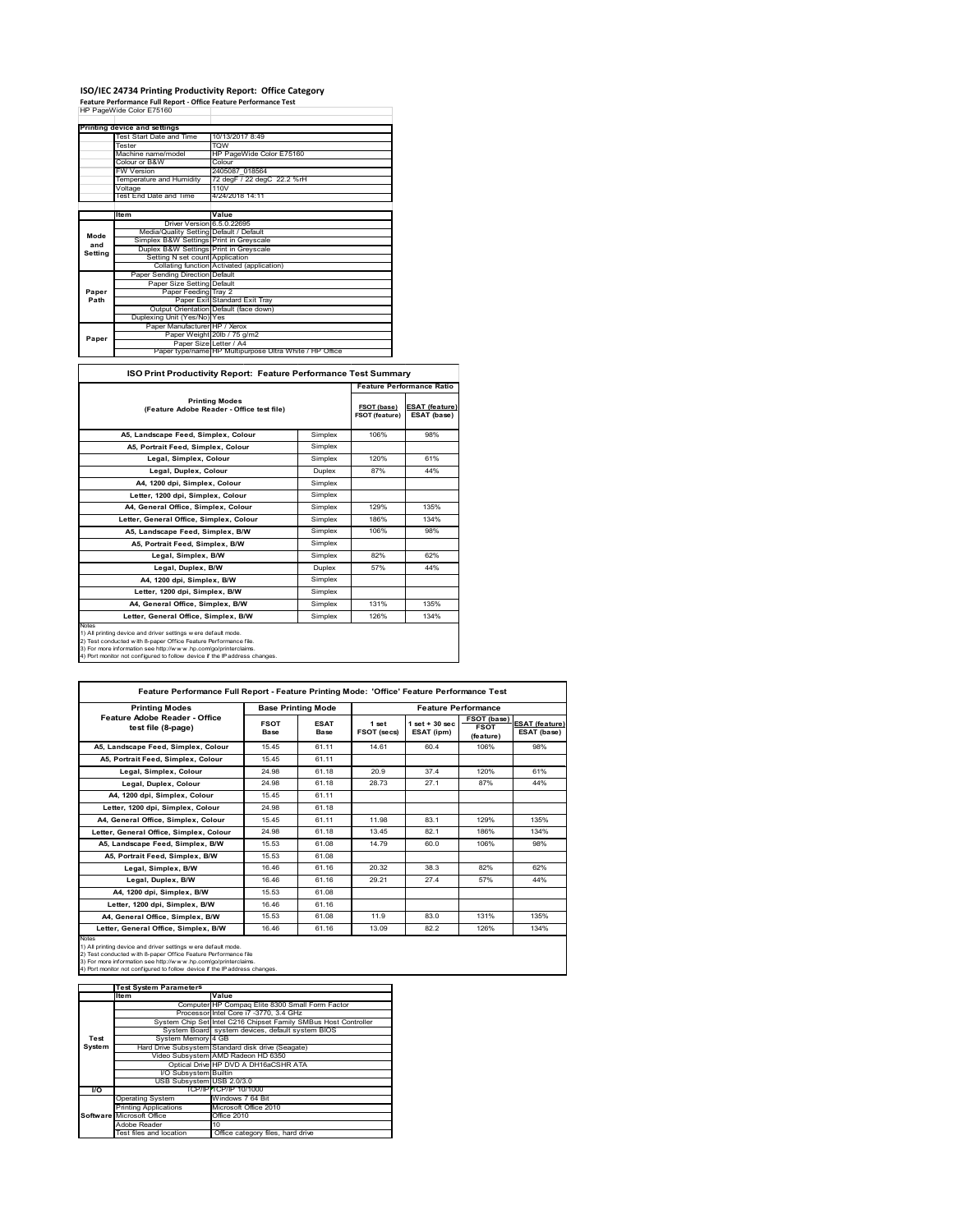## **ISO/IEC 24734 Printing Productivity Report: Office Category Feature Performance Full Report ‐ Office Feature Performance Test** HP PageWide Color E75160

|         | Printing device and settings            |                                                         |  |  |
|---------|-----------------------------------------|---------------------------------------------------------|--|--|
|         | <b>Test Start Date and Time</b>         | 10/13/2017 8:49                                         |  |  |
|         | Tester                                  | <b>TOW</b>                                              |  |  |
|         | Machine name/model                      | HP PageWide Color E75160                                |  |  |
|         | Colour or B&W                           | Colour                                                  |  |  |
|         | <b>FW Version</b>                       | 2405087 018564                                          |  |  |
|         | Temperature and Humidity                | 72 degF / 22 degC 22.2 %rH                              |  |  |
|         | Voltage                                 | 110V                                                    |  |  |
|         | <b>Test End Date and Time</b>           | 4/24/2018 14:11                                         |  |  |
|         |                                         |                                                         |  |  |
|         | Item                                    | Value                                                   |  |  |
|         | Driver Version 6.5.0.22695              |                                                         |  |  |
| Mode    | Media/Quality Setting Default / Default |                                                         |  |  |
| and     | Simplex B&W Settings Print in Greyscale |                                                         |  |  |
| Setting | Duplex B&W Settings Print in Greyscale  |                                                         |  |  |
|         | Setting N set count Application         |                                                         |  |  |
|         |                                         | Collating function Activated (application)              |  |  |
|         | Paper Sending Direction Default         |                                                         |  |  |
|         | Paper Size Setting Default              |                                                         |  |  |
| Paper   | Paper Feeding Tray 2                    |                                                         |  |  |
| Path    |                                         | Paper Exit Standard Exit Tray                           |  |  |
|         |                                         | Output Orientation Default (face down)                  |  |  |
|         | Duplexing Unit (Yes/No) Yes             |                                                         |  |  |
|         | Paper Manufacturer HP / Xerox           |                                                         |  |  |
| Paper   |                                         | Paper Weight 20lb / 75 g/m2                             |  |  |
|         | Paper Size Letter / A4                  |                                                         |  |  |
|         |                                         | Paper type/name HP Multipurpose Ultra White / HP Office |  |  |

#### **ISO Print Productivity Report: Feature Performance Test Summary**

Ť.

|                                                                                                                                                                                                                                                                                             |         |                               | <b>Feature Performance Ratio</b>     |
|---------------------------------------------------------------------------------------------------------------------------------------------------------------------------------------------------------------------------------------------------------------------------------------------|---------|-------------------------------|--------------------------------------|
| <b>Printing Modes</b><br>(Feature Adobe Reader - Office test file)                                                                                                                                                                                                                          |         | FSOT (base)<br>FSOT (feature) | <b>ESAT (feature)</b><br>ESAT (base) |
| A5, Landscape Feed, Simplex, Colour                                                                                                                                                                                                                                                         | Simplex | 106%                          | 98%                                  |
| A5, Portrait Feed, Simplex, Colour                                                                                                                                                                                                                                                          | Simplex |                               |                                      |
| Legal, Simplex, Colour                                                                                                                                                                                                                                                                      | Simplex | 120%                          | 61%                                  |
| Legal, Duplex, Colour                                                                                                                                                                                                                                                                       | Duplex  | 87%                           | 44%                                  |
| A4. 1200 dpi. Simplex, Colour                                                                                                                                                                                                                                                               | Simplex |                               |                                      |
| Letter, 1200 dpi, Simplex, Colour                                                                                                                                                                                                                                                           | Simplex |                               |                                      |
| A4. General Office. Simplex. Colour                                                                                                                                                                                                                                                         | Simplex | 129%                          | 135%                                 |
| Letter, General Office, Simplex, Colour                                                                                                                                                                                                                                                     | Simplex | 186%                          | 134%                                 |
| A5. Landscape Feed. Simplex. B/W                                                                                                                                                                                                                                                            | Simplex | 106%                          | 98%                                  |
| A5. Portrait Feed. Simplex. B/W                                                                                                                                                                                                                                                             | Simplex |                               |                                      |
| Legal, Simplex, B/W                                                                                                                                                                                                                                                                         | Simplex | 82%                           | 62%                                  |
| Legal, Duplex, B/W                                                                                                                                                                                                                                                                          | Duplex  | 57%                           | 44%                                  |
| A4, 1200 dpi, Simplex, B/W                                                                                                                                                                                                                                                                  | Simplex |                               |                                      |
| Letter, 1200 dpi. Simplex, B/W                                                                                                                                                                                                                                                              | Simplex |                               |                                      |
| A4. General Office. Simplex. B/W                                                                                                                                                                                                                                                            | Simplex | 131%                          | 135%                                 |
| Letter, General Office, Simplex, B/W                                                                                                                                                                                                                                                        | Simplex | 126%                          | 134%                                 |
| Notes<br>1) All printing device and driver settings w ere default mode.<br>2) Test conducted with 8-paper Office Feature Performance file.<br>3) For more information see http://www.hp.com/go/printerclaims.<br>4) Port monitor not configured to follow device if the IP address changes. |         |                               |                                      |

| <b>Printing Modes</b>                               |                     | <b>Base Printing Mode</b> |                      | <b>Feature Performance</b>     |                                                |                                      |
|-----------------------------------------------------|---------------------|---------------------------|----------------------|--------------------------------|------------------------------------------------|--------------------------------------|
| Feature Adobe Reader - Office<br>test file (8-page) | <b>FSOT</b><br>Base | <b>ESAT</b><br>Base       | 1 set<br>FSOT (secs) | $1 set + 30 sec$<br>ESAT (ipm) | <b>FSOT (base)</b><br><b>FSOT</b><br>(feature) | <b>ESAT (feature)</b><br>ESAT (base) |
| A5, Landscape Feed, Simplex, Colour                 | 1545                | 61.11                     | 14.61                | 60.4                           | 106%                                           | 98%                                  |
| A5. Portrait Feed. Simplex. Colour                  | 15.45               | 61.11                     |                      |                                |                                                |                                      |
| Legal, Simplex, Colour                              | 24.98               | 61.18                     | 20.9                 | 37.4                           | 120%                                           | 61%                                  |
| Legal, Duplex, Colour                               | 24.98               | 61.18                     | 28.73                | 27.1                           | 87%                                            | 44%                                  |
| A4, 1200 dpi, Simplex, Colour                       | 15.45               | 61.11                     |                      |                                |                                                |                                      |
| Letter, 1200 dpi, Simplex, Colour                   | 24.98               | 61.18                     |                      |                                |                                                |                                      |
| A4, General Office, Simplex, Colour                 | 1545                | 61.11                     | 11.98                | 83.1                           | 129%                                           | 135%                                 |
| Letter, General Office, Simplex, Colour             | 24.98               | 61 18                     | 13.45                | 82.1                           | 186%                                           | 134%                                 |
| A5, Landscape Feed, Simplex, B/W                    | 15.53               | 61.08                     | 14.79                | 60.0                           | 106%                                           | 98%                                  |
| A5, Portrait Feed, Simplex, B/W                     | 15.53               | 61.08                     |                      |                                |                                                |                                      |
| Legal, Simplex, B/W                                 | 1646                | 61.16                     | 20.32                | 38.3                           | 82%                                            | 62%                                  |
| Legal, Duplex, B/W                                  | 1646                | 61.16                     | 29.21                | 27.4                           | 57%                                            | 44%                                  |
| A4, 1200 dpi, Simplex, B/W                          | 15.53               | 61.08                     |                      |                                |                                                |                                      |
| Letter, 1200 dpi, Simplex, B/W                      | 16.46               | 61.16                     |                      |                                |                                                |                                      |
| A4, General Office, Simplex, B/W                    | 15.53               | 61.08                     | 11.9                 | 83.0                           | 131%                                           | 135%                                 |
| Letter, General Office, Simplex, B/W                | 16.46               | 61.16                     | 13.09                | 82.2                           | 126%                                           | 134%                                 |

|               | <b>Test System Parameters</b> |                                                                 |
|---------------|-------------------------------|-----------------------------------------------------------------|
|               | <b>Item</b>                   | Value                                                           |
|               |                               | Computer HP Compaq Elite 8300 Small Form Factor                 |
|               |                               | Processor Intel Core i7 -3770, 3.4 GHz                          |
|               |                               | System Chip Set Intel C216 Chipset Family SMBus Host Controller |
|               |                               | System Board system devices, default system BIOS                |
| Test          | System Memory 4 GB            |                                                                 |
| <b>System</b> |                               | Hard Drive Subsystem Standard disk drive (Seagate)              |
|               |                               | Video Subsystem AMD Radeon HD 6350                              |
|               |                               | Optical Drive HP DVD A DH16aCSHR ATA                            |
|               | I/O Subsystem Builtin         |                                                                 |
|               | USB Subsystem USB 2.0/3.0     |                                                                 |
| VO.           |                               | TCP/IPPTCP/IP 10/1000                                           |
|               | <b>Operating System</b>       | Windows 7 64 Bit                                                |
|               | <b>Printing Applications</b>  | Microsoft Office 2010                                           |
|               | Software Microsoft Office     | Office 2010                                                     |
|               | Adobe Reader                  | 10                                                              |
|               | Test files and location       | Office category files, hard drive                               |
|               |                               |                                                                 |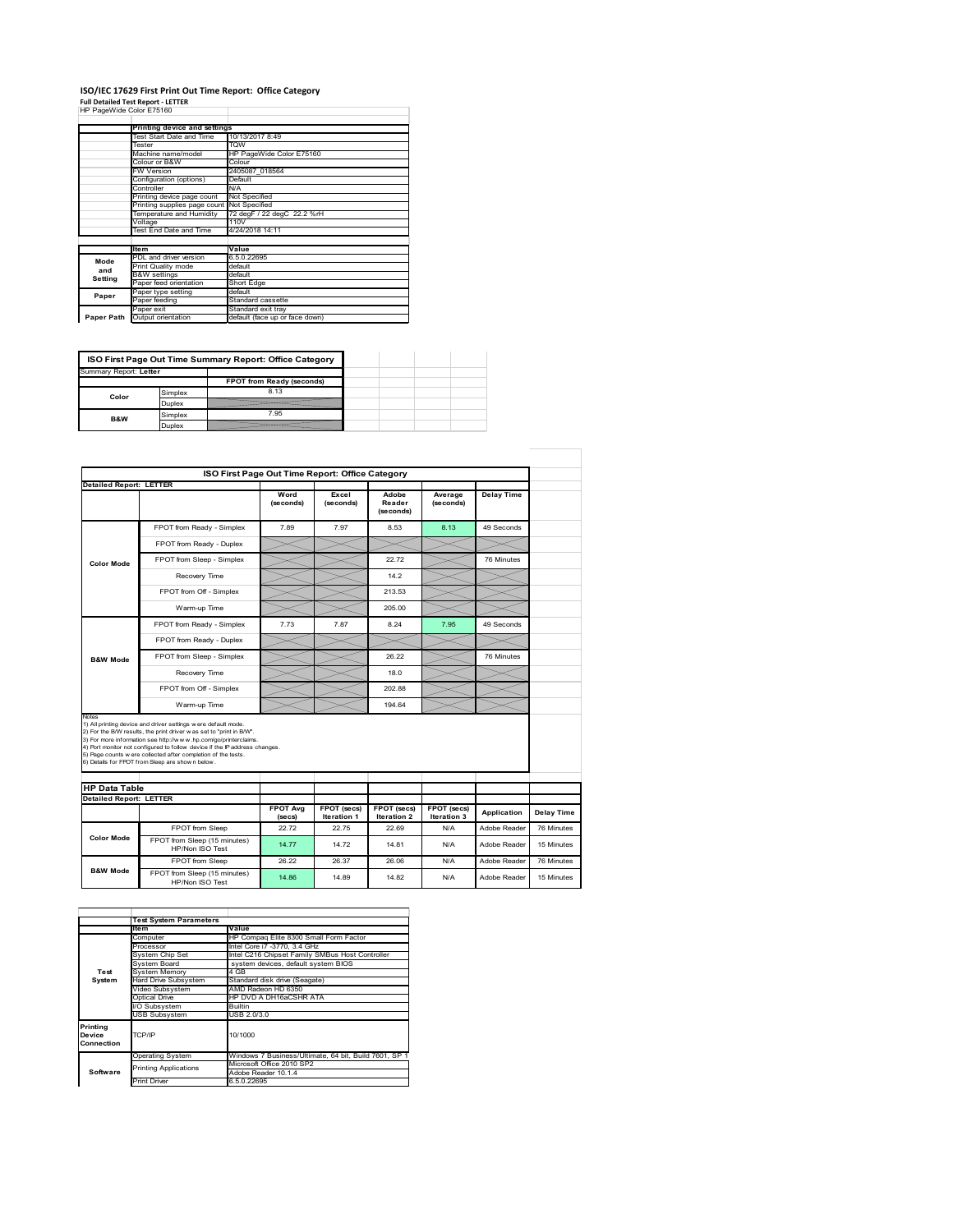# **ISO/IEC 17629 First Print Out Time Report: Office Category Full Detailed Test Report ‐ LETTER** HP PageWide Color E75160

|  | . an betaned rest neport eer : |  |  |
|--|--------------------------------|--|--|
|  | HP PageWide Color E75160       |  |  |

| .  . agoao oo.o. E.o.oo |                                            |                                |
|-------------------------|--------------------------------------------|--------------------------------|
|                         | Printing device and settings               |                                |
|                         | Test Start Date and Time                   | 10/13/2017 8:49                |
|                         | Tester                                     |                                |
|                         |                                            | <b>TOW</b>                     |
|                         | Machine name/model                         | HP PageWide Color E75160       |
|                         | Colour or B&W                              | Colour                         |
|                         | FW Version                                 | 2405087 018564                 |
|                         | Configuration (options)                    | Default                        |
|                         | Controller                                 | N/A                            |
|                         | Printing device page count                 | Not Specified                  |
|                         | Printing supplies page count Not Specified |                                |
|                         | Temperature and Humidity                   | 72 degF / 22 degC 22.2 %rH     |
|                         | Voltage                                    | 110V                           |
|                         | Test End Date and Time                     | 4/24/2018 14:11                |
|                         |                                            |                                |
|                         | <b>Item</b>                                | Value                          |
| Mode                    | PDL and driver version                     | 6.5.0.22695                    |
| and                     | Print Quality mode                         | default                        |
|                         | <b>B&amp;W</b> settings                    | default                        |
| Setting                 | Paper feed orientation                     | Short Edge                     |
| Paper                   | Paper type setting                         | default                        |
|                         | Paper feeding                              | Standard cassette              |
|                         | Paper exit                                 | Standard exit tray             |
| Paper Path              | Output orientation                         | default (face up or face down) |

|       | ISO First Page Out Time Summary Report: Office Category |                           |  |  |  |
|-------|---------------------------------------------------------|---------------------------|--|--|--|
|       | Summary Report: Letter                                  |                           |  |  |  |
|       |                                                         | FPOT from Ready (seconds) |  |  |  |
| Color | Simplex                                                 | 8.13                      |  |  |  |
|       | Duplex                                                  |                           |  |  |  |
| B&W   | Simplex                                                 | 7.95                      |  |  |  |
|       | Duplex                                                  |                           |  |  |  |

|                                | ISO First Page Out Time Report: Office Category                                                                                                                                                                                                                                                                                                                                                             |                           |                            |                                   |                            |              |            |
|--------------------------------|-------------------------------------------------------------------------------------------------------------------------------------------------------------------------------------------------------------------------------------------------------------------------------------------------------------------------------------------------------------------------------------------------------------|---------------------------|----------------------------|-----------------------------------|----------------------------|--------------|------------|
| <b>Detailed Report: LETTER</b> |                                                                                                                                                                                                                                                                                                                                                                                                             |                           |                            |                                   |                            |              |            |
|                                |                                                                                                                                                                                                                                                                                                                                                                                                             | Word<br>(seconds)         | Excel<br>(seconds)         | Adobe<br>Reader<br>(seconds)      | Average<br>(seconds)       | Delay Time   |            |
|                                | FPOT from Ready - Simplex                                                                                                                                                                                                                                                                                                                                                                                   | 7.89                      | 7.97                       | 8.53                              | 8.13                       | 49 Seconds   |            |
|                                | FPOT from Ready - Duplex                                                                                                                                                                                                                                                                                                                                                                                    |                           |                            |                                   |                            |              |            |
| <b>Color Mode</b>              | FPOT from Sleep - Simplex                                                                                                                                                                                                                                                                                                                                                                                   |                           |                            | 22.72                             |                            | 76 Minutes   |            |
|                                | Recovery Time                                                                                                                                                                                                                                                                                                                                                                                               |                           |                            | 14.2                              |                            |              |            |
|                                | FPOT from Off - Simplex                                                                                                                                                                                                                                                                                                                                                                                     |                           |                            | 213.53                            |                            |              |            |
|                                | Warm-up Time                                                                                                                                                                                                                                                                                                                                                                                                |                           |                            | 205.00                            |                            |              |            |
|                                | FPOT from Ready - Simplex                                                                                                                                                                                                                                                                                                                                                                                   | 7.73                      | 7.87                       | 8.24                              | 7.95                       | 49 Seconds   |            |
|                                | FPOT from Ready - Duplex                                                                                                                                                                                                                                                                                                                                                                                    |                           |                            |                                   |                            |              |            |
| <b>B&amp;W Mode</b>            | FPOT from Sleep - Simplex                                                                                                                                                                                                                                                                                                                                                                                   |                           |                            | 26.22                             |                            | 76 Minutes   |            |
|                                | Recovery Time                                                                                                                                                                                                                                                                                                                                                                                               |                           |                            | 18.0                              |                            |              |            |
|                                | FPOT from Off - Simplex                                                                                                                                                                                                                                                                                                                                                                                     |                           |                            | 20288                             |                            |              |            |
|                                | Warm-up Time                                                                                                                                                                                                                                                                                                                                                                                                |                           |                            | 194.64                            |                            |              |            |
| Notes                          | 1) All printing device and driver settings w ere default mode.<br>2) For the B/W results, the print driver w as set to "print in B/W".<br>3) For more information see http://www.hp.com/go/printerclaims.<br>4) Port monitor not configured to follow device if the IP address changes.<br>5) Page counts were collected after completion of the tests.<br>6) Details for FPOT from Sleep are show n below. |                           |                            |                                   |                            |              |            |
| <b>HP Data Table</b>           |                                                                                                                                                                                                                                                                                                                                                                                                             |                           |                            |                                   |                            |              |            |
| <b>Detailed Report: LETTER</b> |                                                                                                                                                                                                                                                                                                                                                                                                             |                           |                            |                                   |                            |              |            |
|                                |                                                                                                                                                                                                                                                                                                                                                                                                             | <b>FPOT Avg</b><br>(secs) | FPOT (secs)<br>Iteration 1 | <b>FPOT</b> (secs)<br>Iteration 2 | FPOT (secs)<br>Iteration 3 | Application  | Delay Time |
|                                | FPOT from Sleep                                                                                                                                                                                                                                                                                                                                                                                             | 22.72                     | 22.75                      | 22.69                             | N/A                        | Adobe Reader | 76 Minutes |
| <b>Color Mode</b>              | FPOT from Sleep (15 minutes)<br>HP/Non ISO Test                                                                                                                                                                                                                                                                                                                                                             | 14.77                     | 14 72                      | 14 81                             | N/A                        | Adobe Reader | 15 Minutes |
|                                | FPOT from Sleep                                                                                                                                                                                                                                                                                                                                                                                             | 26.22                     | 26.37                      | 26.06                             | N/A                        | Adobe Reader | 76 Minutes |
| <b>B&amp;W Mode</b>            | FPOT from Sleep (15 minutes)<br>HP/Non ISO Test                                                                                                                                                                                                                                                                                                                                                             | 14.86                     | 14.89                      | 14.82                             | N/A                        | Adobe Reader | 15 Minutes |

|                                  | <b>Test System Parameters</b> |                                                       |  |  |  |
|----------------------------------|-------------------------------|-------------------------------------------------------|--|--|--|
|                                  | ltem                          | Value                                                 |  |  |  |
|                                  | Computer                      | HP Compag Elite 8300 Small Form Factor                |  |  |  |
|                                  | Processor                     | Intel Core i7 -3770, 3.4 GHz                          |  |  |  |
|                                  | System Chip Set               | Intel C216 Chipset Family SMBus Host Controller       |  |  |  |
|                                  | <b>System Board</b>           | system devices, default system BIOS                   |  |  |  |
| Test                             | <b>System Memory</b>          | 4 GB                                                  |  |  |  |
| System                           | Hard Drive Subsystem          | Standard disk drive (Seagate)                         |  |  |  |
|                                  | Video Subsystem               | AMD Radeon HD 6350                                    |  |  |  |
|                                  | Optical Drive                 | HP DVD A DH16aCSHR ATA                                |  |  |  |
|                                  | I/O Subsystem                 | <b>Builtin</b>                                        |  |  |  |
|                                  | <b>USB Subsystem</b>          | USB 2.0/3.0                                           |  |  |  |
| Printing<br>Device<br>Connection | TCP/IP                        | 10/1000                                               |  |  |  |
| Software                         | <b>Operating System</b>       | Windows 7 Business/Ultimate, 64 bit, Build 7601, SP 1 |  |  |  |
|                                  | <b>Printing Applications</b>  | Microsoft Office 2010 SP2                             |  |  |  |
|                                  |                               | Adobe Reader 10.1.4                                   |  |  |  |
|                                  | <b>Print Driver</b>           | 6.5.0.22695                                           |  |  |  |